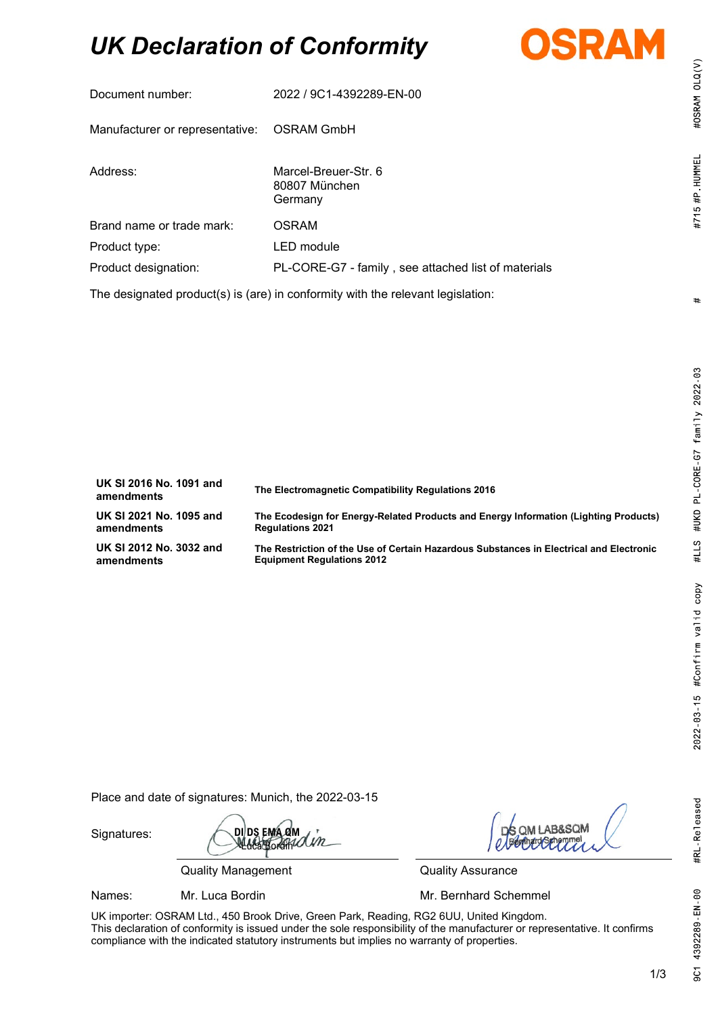# *UK Declaration of Conformity*



| Document number:                                                                | 2022 / 9C1-4392289-EN-00                            |  |
|---------------------------------------------------------------------------------|-----------------------------------------------------|--|
| Manufacturer or representative:                                                 | OSRAM GmbH                                          |  |
| Address:                                                                        | Marcel-Breuer-Str. 6<br>80807 München<br>Germany    |  |
| Brand name or trade mark:                                                       | <b>OSRAM</b>                                        |  |
| Product type:                                                                   | LED module                                          |  |
| Product designation:                                                            | PL-CORE-G7 - family, see attached list of materials |  |
| The designated product(s) is (are) in conformity with the relevant legislation: |                                                     |  |

| UK SI 2016 No. 1091 and<br>amendments | The Electromagnetic Compatibility Regulations 2016                                      |
|---------------------------------------|-----------------------------------------------------------------------------------------|
| UK SI 2021 No. 1095 and               | The Ecodesign for Energy-Related Products and Energy Information (Lighting Products)    |
| amendments                            | <b>Regulations 2021</b>                                                                 |
| UK SI 2012 No. 3032 and               | The Restriction of the Use of Certain Hazardous Substances in Electrical and Electronic |
| amendments                            | <b>Equipment Regulations 2012</b>                                                       |

Place and date of signatures: Munich, the 2022-03-15

Signatures:

**DI DS EMA QM**  $B$ org $M$ Un

Quality Management **Quality Assurance** 

**B&SOM** 

Names: Mr. Luca Bordin Mr. **Mr. Bernhard Schemmel** 

UK importer: OSRAM Ltd., 450 Brook Drive, Green Park, Reading, RG2 6UU, United Kingdom. This declaration of conformity is issued under the sole responsibility of the manufacturer or representative. It confirms compliance with the indicated statutory instruments but implies no warranty of properties.

#OSRAM OLQ(V)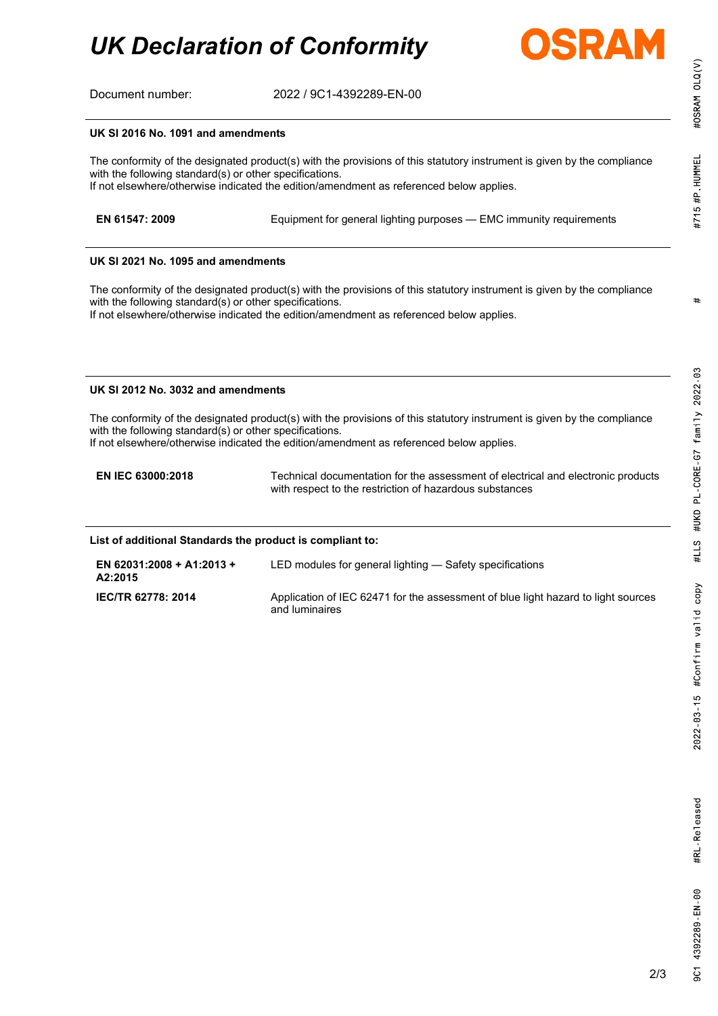# *UK Declaration of Conformity*



Document number: 2022 / 9C1-4392289-EN-00

#### **UK SI 2016 No. 1091 and amendments**

The conformity of the designated product(s) with the provisions of this statutory instrument is given by the compliance with the following standard(s) or other specifications. If not elsewhere/otherwise indicated the edition/amendment as referenced below applies.

| EN 61547: 2009 | Equipment for general lighting purposes - EMC immunity requirements |  |
|----------------|---------------------------------------------------------------------|--|
|                |                                                                     |  |

#### **UK SI 2021 No. 1095 and amendments**

The conformity of the designated product(s) with the provisions of this statutory instrument is given by the compliance with the following standard(s) or other specifications.

If not elsewhere/otherwise indicated the edition/amendment as referenced below applies.

#### **UK SI 2012 No. 3032 and amendments**

The conformity of the designated product(s) with the provisions of this statutory instrument is given by the compliance with the following standard(s) or other specifications.

If not elsewhere/otherwise indicated the edition/amendment as referenced below applies.

**EN IEC 63000:2018** Technical documentation for the assessment of electrical and electronic products with respect to the restriction of hazardous substances

#### **List of additional Standards the product is compliant to:**

| EN 62031:2008 + A1:2013 +<br>A2:2015 | LED modules for general lighting — Safety specifications                                            |
|--------------------------------------|-----------------------------------------------------------------------------------------------------|
| <b>IEC/TR 62778: 2014</b>            | Application of IEC 62471 for the assessment of blue light hazard to light sources<br>and luminaires |

#OSRAM OLQ(V)

#715 #P HUMMEL

9C1